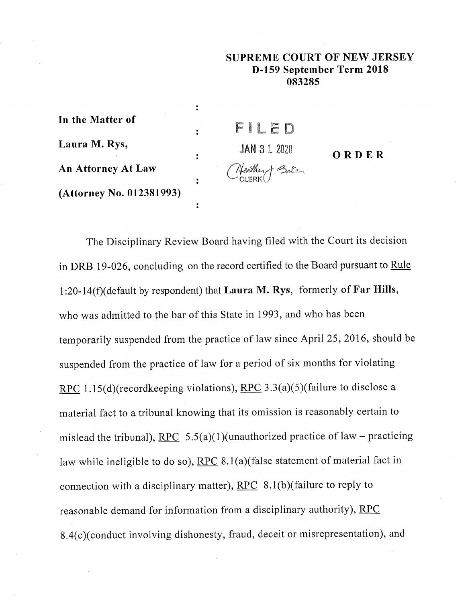## **SUPREME COURT OF NEW JERSEY D-159 September Term 2018 083285**

**ORDER**

| JAN 3 1 2020 | ORDE                     |
|--------------|--------------------------|
|              |                          |
|              |                          |
|              |                          |
|              | FILED<br>(Neather ) Bale |

The Disciplinary Review Board having filed with the Court its decision in DRB 19-026, concluding on the record certified to the Board pursuant to Rule **1:20-14(f)(default** by respondent) that Laura M. Rys, formerly of Far Hills, who was admitted to the bar of this State in 1993, and who has been temporarily suspended from the practice of law since April 25, 2016, should be suspended from the practice of law for a period of six months for violating RPC 1.15(d)(recordkeeping violations), RPC 3.3(a)(5)(failure to disclose a material fact to a tribunal knowing that its omission is reasonably certain to mislead the tribunal), RPC  $5.5(a)(1)($ unauthorized practice of law – practicing law while ineligible to do so),  $RPC 8.1(a)$  (false statement of material fact in connection with a disciplinary matter),  $RPC 8.1(b)$ (failure to reply to reasonable demand for information from a disciplinary authority), RPC 8.4(c)(conduct involving dishonesty, fraud, deceit or misrepresentation), and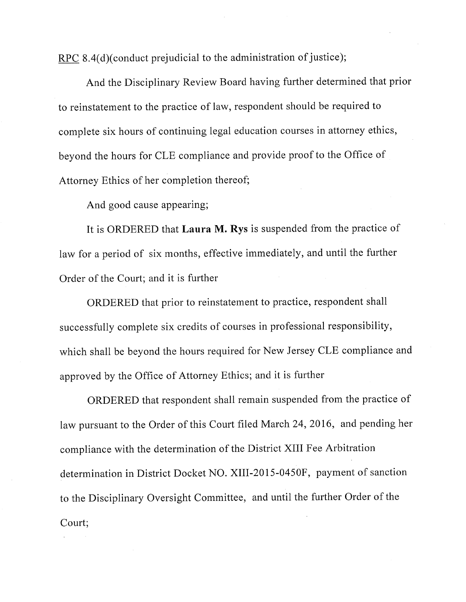RPC 8.4(d)(conduct prejudicial to the administration of justice);

And the Disciplinary Review Board having further determined that prior to reinstatement to the practice of law, respondent should be required to complete six hours of continuing legal education courses in attorney ethics, beyond the hours for CLE compliance and provide proof to the Office of Attorney Ethics of her completion thereof;

And good cause appearing;

It is ORDERED that Laura M. Rys is suspended from the practice of law for a period of six months, effective immediately, and until the further Order of the Court; and it is further

ORDERED that prior to reinstatement to practice, respondent shall successfully complete six credits of courses in professional responsibility, which shall be beyond the hours required for New Jersey CLE compliance and approved by the Office of Attorney Ethics; and it is further

ORDERED that respondent shall remain suspended from the practice of law pursuant to the Order of this Court filed March 24, 2016, and pending her compliance with the determination of the District XIII Fee Arbitration determination in District Docket NO. XIII-2015-0450F, payment of sanction to the Disciplinary Oversight Committee, and until the further Order of the Court;